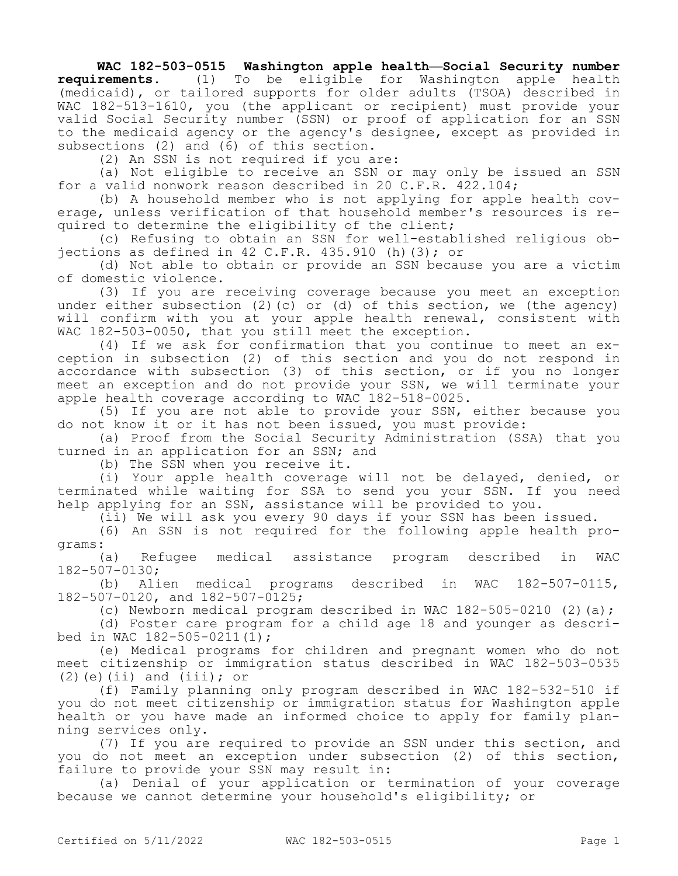## **WAC 182-503-0515 Washington apple health—Social Security number**

**requirements.** (1) To be eligible for Washington apple health (medicaid), or tailored supports for older adults (TSOA) described in WAC 182-513-1610, you (the applicant or recipient) must provide your valid Social Security number (SSN) or proof of application for an SSN to the medicaid agency or the agency's designee, except as provided in subsections (2) and (6) of this section.

(2) An SSN is not required if you are:

(a) Not eligible to receive an SSN or may only be issued an SSN for a valid nonwork reason described in 20 C.F.R. 422.104;

(b) A household member who is not applying for apple health coverage, unless verification of that household member's resources is required to determine the eligibility of the client;

(c) Refusing to obtain an SSN for well-established religious objections as defined in 42 C.F.R. 435.910 (h)(3); or

(d) Not able to obtain or provide an SSN because you are a victim of domestic violence.

(3) If you are receiving coverage because you meet an exception under either subsection (2)(c) or (d) of this section, we (the agency) will confirm with you at your apple health renewal, consistent with WAC 182-503-0050, that you still meet the exception.

(4) If we ask for confirmation that you continue to meet an exception in subsection (2) of this section and you do not respond in accordance with subsection (3) of this section, or if you no longer meet an exception and do not provide your SSN, we will terminate your apple health coverage according to WAC 182-518-0025.

(5) If you are not able to provide your SSN, either because you do not know it or it has not been issued, you must provide:

(a) Proof from the Social Security Administration (SSA) that you turned in an application for an SSN; and

(b) The SSN when you receive it.

(i) Your apple health coverage will not be delayed, denied, or terminated while waiting for SSA to send you your SSN. If you need help applying for an SSN, assistance will be provided to you.

(ii) We will ask you every 90 days if your SSN has been issued.

(6) An SSN is not required for the following apple health programs:

(a) Refugee medical assistance program described in WAC 182-507-0130;

(b) Alien medical programs described in WAC 182-507-0115, 182-507-0120, and 182-507-0125;

(c) Newborn medical program described in WAC  $182-505-0210$  (2)(a);

(d) Foster care program for a child age 18 and younger as described in WAC 182-505-0211(1);

(e) Medical programs for children and pregnant women who do not meet citizenship or immigration status described in WAC 182-503-0535  $(2)$  (e)(ii) and (iii); or

(f) Family planning only program described in WAC 182-532-510 if you do not meet citizenship or immigration status for Washington apple health or you have made an informed choice to apply for family planning services only.

(7) If you are required to provide an SSN under this section, and you do not meet an exception under subsection (2) of this section, failure to provide your SSN may result in:

(a) Denial of your application or termination of your coverage because we cannot determine your household's eligibility; or